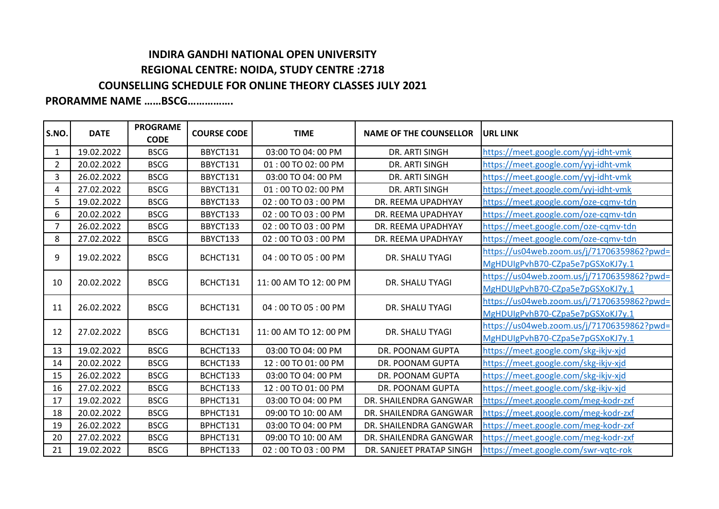## **INDIRA GANDHI NATIONAL OPEN UNIVERSITY REGIONAL CENTRE: NOIDA, STUDY CENTRE :2718 COUNSELLING SCHEDULE FOR ONLINE THEORY CLASSES JULY 2021**

## **PRORAMME NAME ……BSCG…………….**

| S.NO.          | <b>DATE</b> | <b>PROGRAME</b><br><b>CODE</b> | <b>COURSE CODE</b> | <b>TIME</b>          | <b>NAME OF THE COUNSELLOR</b> | <b>URL LINK</b>                            |
|----------------|-------------|--------------------------------|--------------------|----------------------|-------------------------------|--------------------------------------------|
| $\mathbf{1}$   | 19.02.2022  | <b>BSCG</b>                    | BBYCT131           | 03:00 TO 04: 00 PM   | DR. ARTI SINGH                | https://meet.google.com/yyj-idht-vmk       |
| $\overline{2}$ | 20.02.2022  | <b>BSCG</b>                    | BBYCT131           | 01:00 TO 02:00 PM    | DR. ARTI SINGH                | https://meet.google.com/yyj-idht-vmk       |
| 3              | 26.02.2022  | <b>BSCG</b>                    | BBYCT131           | 03:00 TO 04: 00 PM   | DR. ARTI SINGH                | https://meet.google.com/yyj-idht-vmk       |
| 4              | 27.02.2022  | <b>BSCG</b>                    | BBYCT131           | 01:00 TO 02:00 PM    | DR. ARTI SINGH                | https://meet.google.com/yyj-idht-vmk       |
| 5              | 19.02.2022  | <b>BSCG</b>                    | BBYCT133           | 02:00 TO 03:00 PM    | DR. REEMA UPADHYAY            | https://meet.google.com/oze-cqmv-tdn       |
| 6              | 20.02.2022  | <b>BSCG</b>                    | BBYCT133           | 02:00 TO 03:00 PM    | DR. REEMA UPADHYAY            | https://meet.google.com/oze-cqmv-tdn       |
| $\overline{7}$ | 26.02.2022  | <b>BSCG</b>                    | BBYCT133           | 02:00 TO 03:00 PM    | DR. REEMA UPADHYAY            | https://meet.google.com/oze-cqmv-tdn       |
| 8              | 27.02.2022  | <b>BSCG</b>                    | BBYCT133           | 02:00 TO 03:00 PM    | DR. REEMA UPADHYAY            | https://meet.google.com/oze-cqmv-tdn       |
|                | 19.02.2022  | <b>BSCG</b>                    | BCHCT131           | 04:00 TO 05:00 PM    | DR. SHALU TYAGI               | https://us04web.zoom.us/j/71706359862?pwd= |
| 9              |             |                                |                    |                      |                               | MgHDUIgPvhB70-CZpa5e7pGSXoKJ7y.1           |
| 10             | 20.02.2022  | <b>BSCG</b>                    | BCHCT131           | 11:00 AM TO 12:00 PM | DR. SHALU TYAGI               | https://us04web.zoom.us/j/71706359862?pwd= |
|                |             |                                |                    |                      |                               | MgHDUIgPvhB70-CZpa5e7pGSXoKJ7y.1           |
|                | 26.02.2022  | <b>BSCG</b>                    | BCHCT131           | 04:00 TO 05:00 PM    | DR. SHALU TYAGI               | https://us04web.zoom.us/j/71706359862?pwd= |
| 11             |             |                                |                    |                      |                               | MgHDUIgPvhB70-CZpa5e7pGSXoKJ7y.1           |
| 12             | 27.02.2022  | <b>BSCG</b>                    | BCHCT131           | 11:00 AM TO 12:00 PM | DR. SHALU TYAGI               | https://us04web.zoom.us/j/71706359862?pwd= |
|                |             |                                |                    |                      |                               | MgHDUIgPvhB70-CZpa5e7pGSXoKJ7y.1           |
| 13             | 19.02.2022  | <b>BSCG</b>                    | BCHCT133           | 03:00 TO 04: 00 PM   | DR. POONAM GUPTA              | https://meet.google.com/skg-ikjv-xjd       |
| 14             | 20.02.2022  | <b>BSCG</b>                    | BCHCT133           | 12:00 TO 01:00 PM    | DR. POONAM GUPTA              | https://meet.google.com/skg-ikjv-xjd       |
| 15             | 26.02.2022  | <b>BSCG</b>                    | BCHCT133           | 03:00 TO 04: 00 PM   | DR. POONAM GUPTA              | https://meet.google.com/skg-ikjv-xjd       |
| 16             | 27.02.2022  | <b>BSCG</b>                    | BCHCT133           | 12:00 TO 01:00 PM    | DR. POONAM GUPTA              | https://meet.google.com/skg-ikjv-xjd       |
| 17             | 19.02.2022  | <b>BSCG</b>                    | BPHCT131           | 03:00 TO 04: 00 PM   | DR. SHAILENDRA GANGWAR        | https://meet.google.com/meg-kodr-zxf       |
| 18             | 20.02.2022  | <b>BSCG</b>                    | BPHCT131           | 09:00 TO 10: 00 AM   | DR. SHAILENDRA GANGWAR        | https://meet.google.com/meg-kodr-zxf       |
| 19             | 26.02.2022  | <b>BSCG</b>                    | BPHCT131           | 03:00 TO 04: 00 PM   | DR. SHAILENDRA GANGWAR        | https://meet.google.com/meg-kodr-zxf       |
| 20             | 27.02.2022  | <b>BSCG</b>                    | BPHCT131           | 09:00 TO 10:00 AM    | DR. SHAILENDRA GANGWAR        | https://meet.google.com/meg-kodr-zxf       |
| 21             | 19.02.2022  | <b>BSCG</b>                    | BPHCT133           | 02:00 TO 03:00 PM    | DR. SANJEET PRATAP SINGH      | https://meet.google.com/swr-vqtc-rok       |